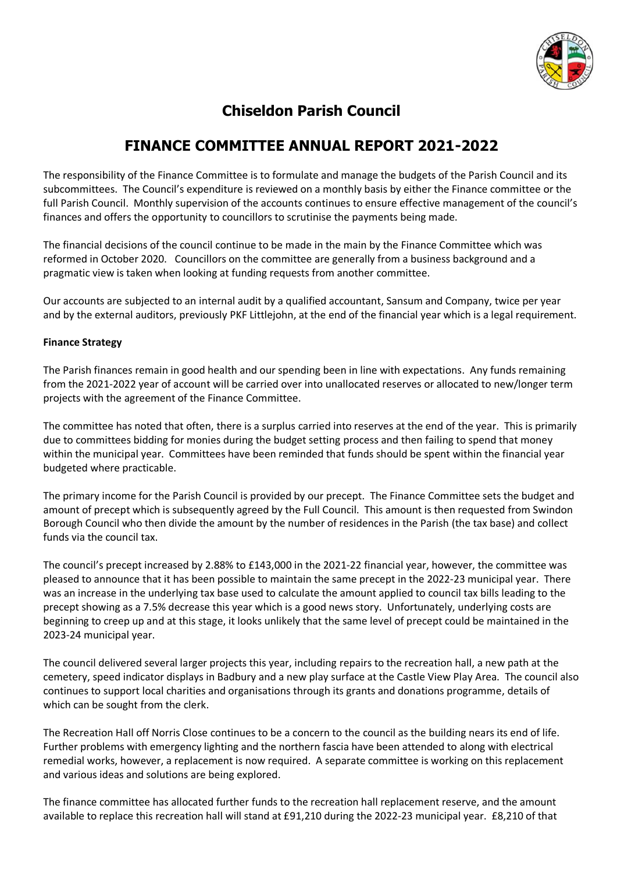

# **Chiseldon Parish Council**

# **FINANCE COMMITTEE ANNUAL REPORT 2021-2022**

The responsibility of the Finance Committee is to formulate and manage the budgets of the Parish Council and its subcommittees. The Council's expenditure is reviewed on a monthly basis by either the Finance committee or the full Parish Council. Monthly supervision of the accounts continues to ensure effective management of the council's finances and offers the opportunity to councillors to scrutinise the payments being made.

The financial decisions of the council continue to be made in the main by the Finance Committee which was reformed in October 2020. Councillors on the committee are generally from a business background and a pragmatic view is taken when looking at funding requests from another committee.

Our accounts are subjected to an internal audit by a qualified accountant, Sansum and Company, twice per year and by the external auditors, previously PKF Littlejohn, at the end of the financial year which is a legal requirement.

## **Finance Strategy**

The Parish finances remain in good health and our spending been in line with expectations. Any funds remaining from the 2021-2022 year of account will be carried over into unallocated reserves or allocated to new/longer term projects with the agreement of the Finance Committee.

The committee has noted that often, there is a surplus carried into reserves at the end of the year. This is primarily due to committees bidding for monies during the budget setting process and then failing to spend that money within the municipal year. Committees have been reminded that funds should be spent within the financial year budgeted where practicable.

The primary income for the Parish Council is provided by our precept. The Finance Committee sets the budget and amount of precept which is subsequently agreed by the Full Council. This amount is then requested from Swindon Borough Council who then divide the amount by the number of residences in the Parish (the tax base) and collect funds via the council tax.

The council's precept increased by 2.88% to £143,000 in the 2021-22 financial year, however, the committee was pleased to announce that it has been possible to maintain the same precept in the 2022-23 municipal year. There was an increase in the underlying tax base used to calculate the amount applied to council tax bills leading to the precept showing as a 7.5% decrease this year which is a good news story. Unfortunately, underlying costs are beginning to creep up and at this stage, it looks unlikely that the same level of precept could be maintained in the 2023-24 municipal year.

The council delivered several larger projects this year, including repairs to the recreation hall, a new path at the cemetery, speed indicator displays in Badbury and a new play surface at the Castle View Play Area. The council also continues to support local charities and organisations through its grants and donations programme, details of which can be sought from the clerk.

The Recreation Hall off Norris Close continues to be a concern to the council as the building nears its end of life. Further problems with emergency lighting and the northern fascia have been attended to along with electrical remedial works, however, a replacement is now required. A separate committee is working on this replacement and various ideas and solutions are being explored.

The finance committee has allocated further funds to the recreation hall replacement reserve, and the amount available to replace this recreation hall will stand at £91,210 during the 2022-23 municipal year. £8,210 of that